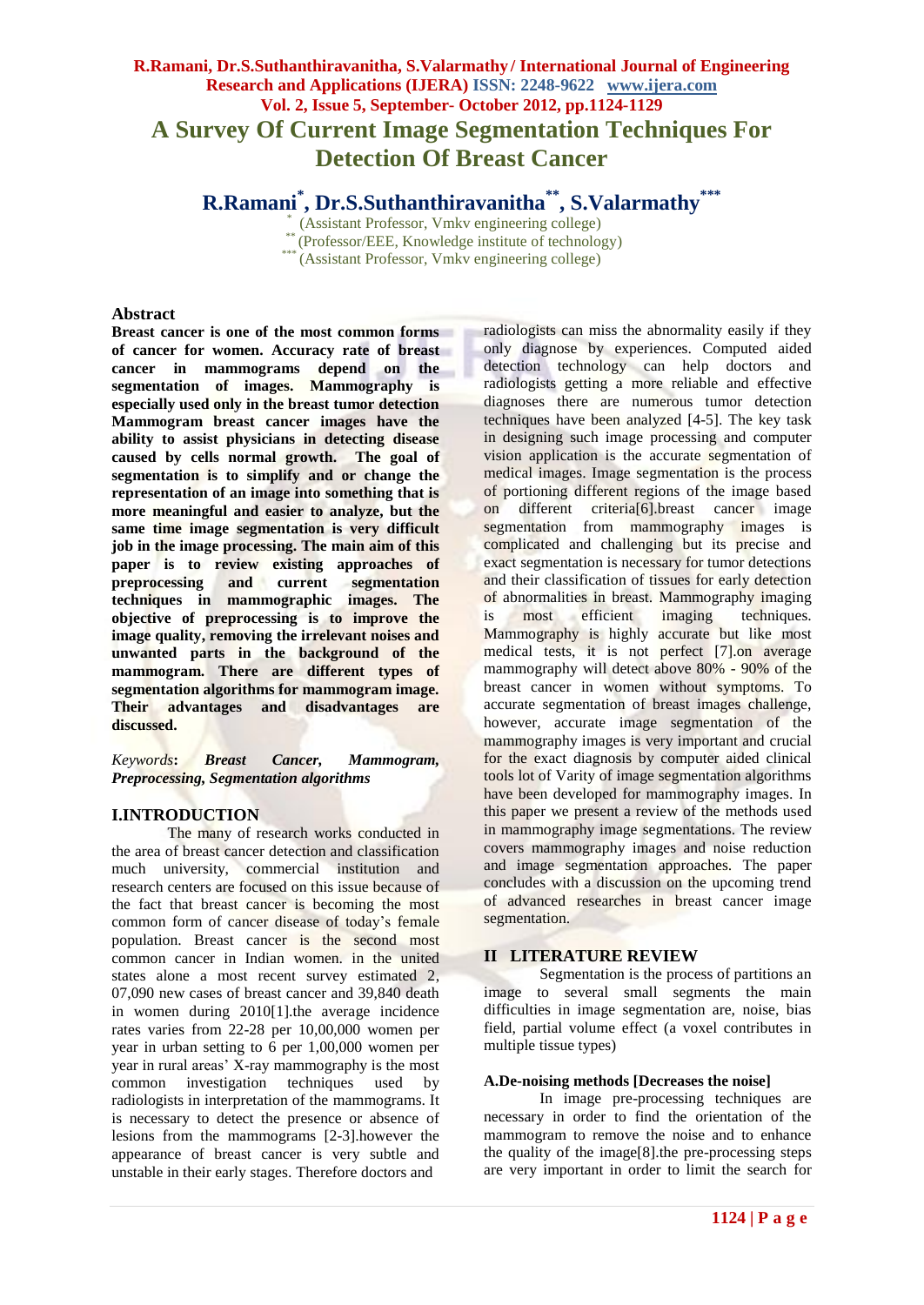# **R.Ramani, Dr.S.Suthanthiravanitha, S.Valarmathy / International Journal of Engineering Research and Applications (IJERA) ISSN: 2248-9622 www.ijera.com Vol. 2, Issue 5, September- October 2012, pp.1124-1129 A Survey Of Current Image Segmentation Techniques For Detection Of Breast Cancer**

**R.Ramani\* , Dr.S.Suthanthiravanitha\*\*, S.Valarmathy\*\*\***

\* (Assistant Professor, Vmkv engineering college) \*\* (Professor/EEE, Knowledge institute of technology) \*\*\* (Assistant Professor, Vmkv engineering college)

# **Abstract**

**Breast cancer is one of the most common forms of cancer for women. Accuracy rate of breast cancer in mammograms depend on the segmentation of images. Mammography is especially used only in the breast tumor detection Mammogram breast cancer images have the ability to assist physicians in detecting disease caused by cells normal growth. The goal of segmentation is to simplify and or change the representation of an image into something that is more meaningful and easier to analyze, but the same time image segmentation is very difficult job in the image processing. The main aim of this paper is to review existing approaches of preprocessing and current segmentation techniques in mammographic images. The objective of preprocessing is to improve the image quality, removing the irrelevant noises and unwanted parts in the background of the mammogram. There are different types of segmentation algorithms for mammogram image. Their advantages and disadvantages are discussed.**

*Keywords***:** *Breast Cancer, Mammogram, Preprocessing, Segmentation algorithms*

# **I.INTRODUCTION**

The many of research works conducted in the area of breast cancer detection and classification much university, commercial institution and research centers are focused on this issue because of the fact that breast cancer is becoming the most common form of cancer disease of today's female population. Breast cancer is the second most common cancer in Indian women. in the united states alone a most recent survey estimated 2, 07,090 new cases of breast cancer and 39,840 death in women during 2010[1].the average incidence rates varies from 22-28 per 10,00,000 women per year in urban setting to 6 per 1,00,000 women per year in rural areas' X-ray mammography is the most common investigation techniques used by radiologists in interpretation of the mammograms. It is necessary to detect the presence or absence of lesions from the mammograms [2-3].however the appearance of breast cancer is very subtle and unstable in their early stages. Therefore doctors and

radiologists can miss the abnormality easily if they only diagnose by experiences. Computed aided detection technology can help doctors and radiologists getting a more reliable and effective diagnoses there are numerous tumor detection techniques have been analyzed [4-5]. The key task in designing such image processing and computer vision application is the accurate segmentation of medical images. Image segmentation is the process of portioning different regions of the image based on different criteria[6].breast cancer image segmentation from mammography images is complicated and challenging but its precise and exact segmentation is necessary for tumor detections and their classification of tissues for early detection of abnormalities in breast. Mammography imaging is most efficient imaging techniques. Mammography is highly accurate but like most medical tests, it is not perfect [7].on average mammography will detect above 80% - 90% of the breast cancer in women without symptoms. To accurate segmentation of breast images challenge, however, accurate image segmentation of the mammography images is very important and crucial for the exact diagnosis by computer aided clinical tools lot of Varity of image segmentation algorithms have been developed for mammography images. In this paper we present a review of the methods used in mammography image segmentations. The review covers mammography images and noise reduction and image segmentation approaches. The paper concludes with a discussion on the upcoming trend of advanced researches in breast cancer image segmentation.

# **II LITERATURE REVIEW**

Segmentation is the process of partitions an image to several small segments the main difficulties in image segmentation are, noise, bias field, partial volume effect (a voxel contributes in multiple tissue types)

## **A.De-noising methods [Decreases the noise]**

In image pre-processing techniques are necessary in order to find the orientation of the mammogram to remove the noise and to enhance the quality of the image[8].the pre-processing steps are very important in order to limit the search for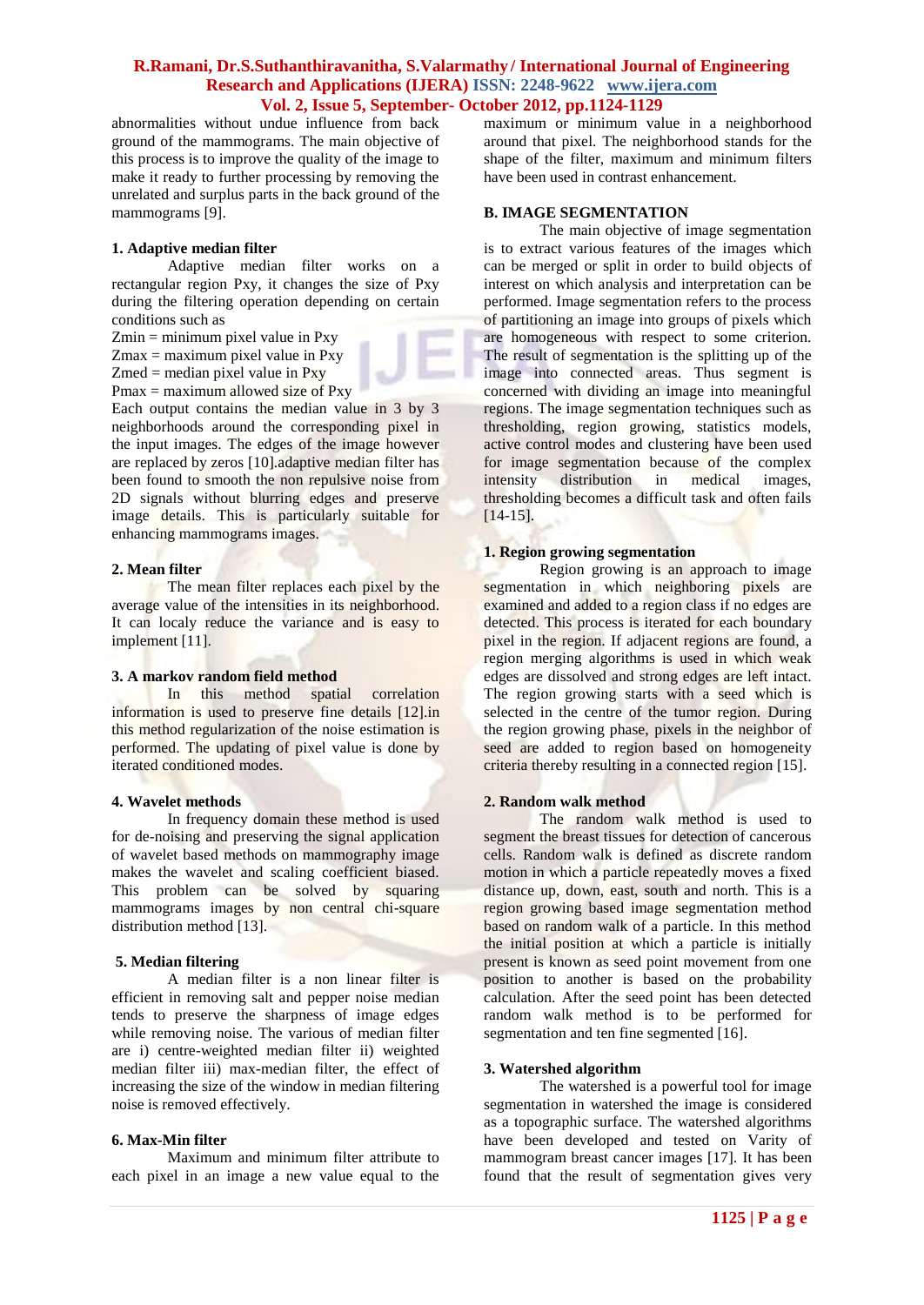abnormalities without undue influence from back ground of the mammograms. The main objective of this process is to improve the quality of the image to make it ready to further processing by removing the unrelated and surplus parts in the back ground of the mammograms [9].

#### **1. Adaptive median filter**

Adaptive median filter works on a rectangular region Pxy, it changes the size of Pxy during the filtering operation depending on certain conditions such as

- $Zmin = minimum pixel value in Pxy$
- $Z$ max = maximum pixel value in Pxy
- $Zmed = median pixel value in Pxy$

Pmax = maximum allowed size of Pxy

Each output contains the median value in 3 by 3 neighborhoods around the corresponding pixel in the input images. The edges of the image however are replaced by zeros [10].adaptive median filter has been found to smooth the non repulsive noise from 2D signals without blurring edges and preserve image details. This is particularly suitable for enhancing mammograms images.

#### **2. Mean filter**

The mean filter replaces each pixel by the average value of the intensities in its neighborhood. It can localy reduce the variance and is easy to implement [11].

# **3. A markov random field method**

In this method spatial correlation information is used to preserve fine details [12].in this method regularization of the noise estimation is performed. The updating of pixel value is done by iterated conditioned modes.

#### **4. Wavelet methods**

In frequency domain these method is used for de-noising and preserving the signal application of wavelet based methods on mammography image makes the wavelet and scaling coefficient biased. This problem can be solved by squaring mammograms images by non central chi-square distribution method [13].

#### **5. Median filtering**

A median filter is a non linear filter is efficient in removing salt and pepper noise median tends to preserve the sharpness of image edges while removing noise. The various of median filter are i) centre-weighted median filter ii) weighted median filter iii) max-median filter, the effect of increasing the size of the window in median filtering noise is removed effectively.

### **6. Max-Min filter**

Maximum and minimum filter attribute to each pixel in an image a new value equal to the maximum or minimum value in a neighborhood around that pixel. The neighborhood stands for the shape of the filter, maximum and minimum filters have been used in contrast enhancement.

#### **B. IMAGE SEGMENTATION**

The main objective of image segmentation is to extract various features of the images which can be merged or split in order to build objects of interest on which analysis and interpretation can be performed. Image segmentation refers to the process of partitioning an image into groups of pixels which are homogeneous with respect to some criterion. The result of segmentation is the splitting up of the image into connected areas. Thus segment is concerned with dividing an image into meaningful regions. The image segmentation techniques such as thresholding, region growing, statistics models, active control modes and clustering have been used for image segmentation because of the complex intensity distribution in medical images, thresholding becomes a difficult task and often fails  $[14-15]$ .

## **1. Region growing segmentation**

Region growing is an approach to image segmentation in which neighboring pixels are examined and added to a region class if no edges are detected. This process is iterated for each boundary pixel in the region. If adjacent regions are found, a region merging algorithms is used in which weak edges are dissolved and strong edges are left intact. The region growing starts with a seed which is selected in the centre of the tumor region. During the region growing phase, pixels in the neighbor of seed are added to region based on homogeneity criteria thereby resulting in a connected region [15].

### **2. Random walk method**

The random walk method is used to segment the breast tissues for detection of cancerous cells. Random walk is defined as discrete random motion in which a particle repeatedly moves a fixed distance up, down, east, south and north. This is a region growing based image segmentation method based on random walk of a particle. In this method the initial position at which a particle is initially present is known as seed point movement from one position to another is based on the probability calculation. After the seed point has been detected random walk method is to be performed for segmentation and ten fine segmented [16].

#### **3. Watershed algorithm**

The watershed is a powerful tool for image segmentation in watershed the image is considered as a topographic surface. The watershed algorithms have been developed and tested on Varity of mammogram breast cancer images [17]. It has been found that the result of segmentation gives very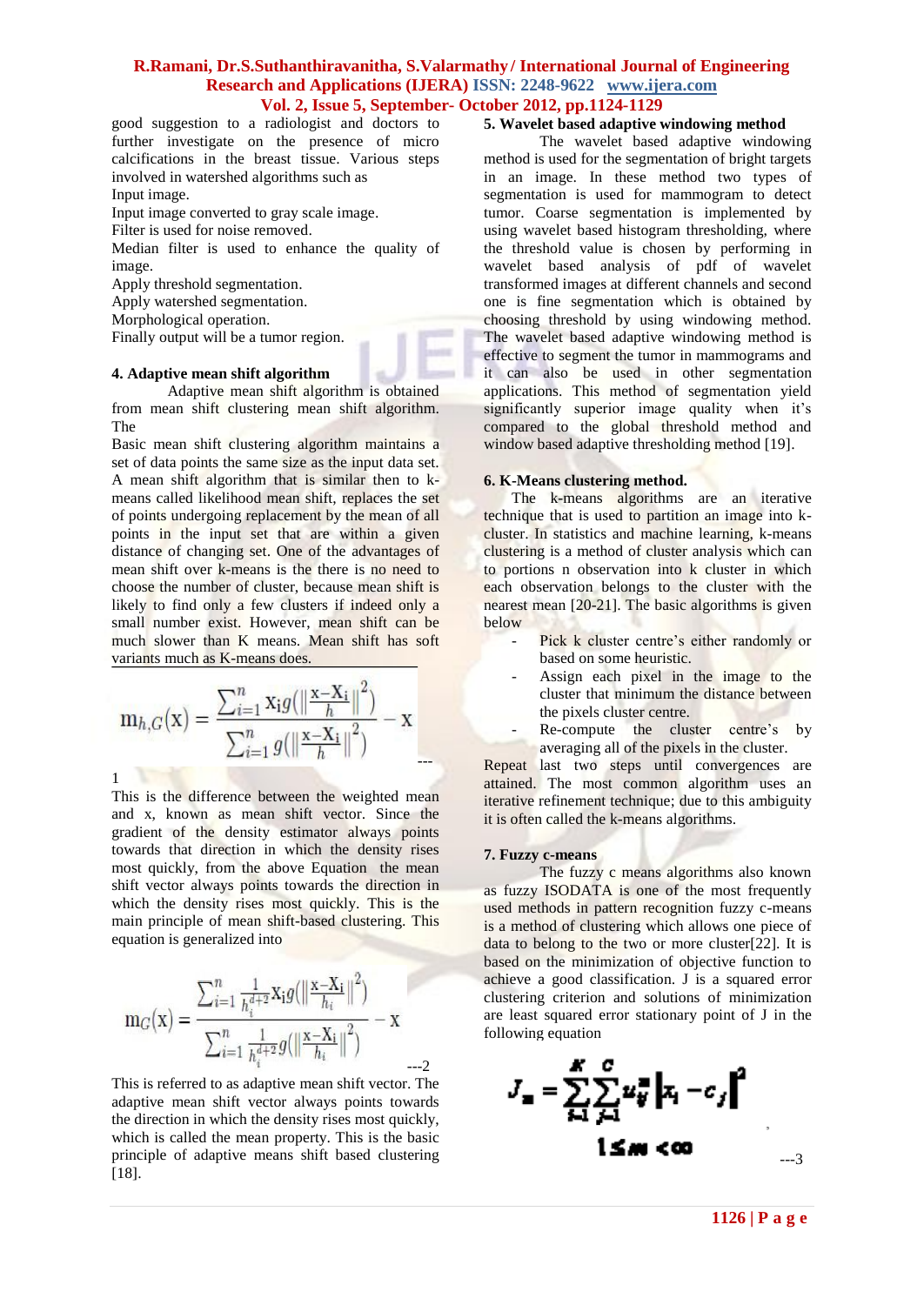good suggestion to a radiologist and doctors to further investigate on the presence of micro calcifications in the breast tissue. Various steps involved in watershed algorithms such as Input image.

Input image converted to gray scale image.

Filter is used for noise removed.

Median filter is used to enhance the quality of image.

Apply threshold segmentation.

Apply watershed segmentation.

Morphological operation.

Finally output will be a tumor region.

#### **4. Adaptive mean shift algorithm**

Adaptive mean shift algorithm is obtained from mean shift clustering mean shift algorithm. The

Basic mean shift clustering algorithm maintains a set of data points the same size as the input data set. A mean shift algorithm that is similar then to kmeans called likelihood mean shift, replaces the set of points undergoing replacement by the mean of all points in the input set that are within a given distance of changing set. One of the advantages of mean shift over k-means is the there is no need to choose the number of cluster, because mean shift is likely to find only a few clusters if indeed only a small number exist. However, mean shift can be much slower than K means. Mean shift has soft variants much as K-means does.

$$
\mathbf{m}_{h,G}(\mathbf{x}) = \frac{\sum_{i=1}^{n} \mathbf{x}_i g\left(\left\|\frac{\mathbf{x} - \mathbf{X}_i}{h}\right\|^2\right)}{\sum_{i=1}^{n} g\left(\left\|\frac{\mathbf{x} - \mathbf{X}_i}{h}\right\|^2\right)} - \mathbf{x}
$$

1

This is the difference between the weighted mean and x, known as mean shift vector. Since the gradient of the density estimator always points towards that direction in which the density rises most quickly, from the above Equation the mean shift vector always points towards the direction in which the density rises most quickly. This is the main principle of mean shift-based clustering. This equation is generalized into

$$
\mathbf{m}_{G}(\mathbf{x}) = \frac{\sum_{i=1}^{n} \frac{1}{h_i^{d+2}} \mathbf{x}_i g\left(\left\|\frac{\mathbf{x} - \mathbf{X}_i}{h_i}\right\|^2\right)}{\sum_{i=1}^{n} \frac{1}{h_i^{d+2}} g\left(\left\|\frac{\mathbf{x} - \mathbf{X}_i}{h_i}\right\|^2\right)} - \mathbf{x}_{n-2}}
$$

This is referred to as adaptive mean shift vector. The adaptive mean shift vector always points towards the direction in which the density rises most quickly, which is called the mean property. This is the basic principle of adaptive means shift based clustering [18].

# **5. Wavelet based adaptive windowing method**

The wavelet based adaptive windowing method is used for the segmentation of bright targets in an image. In these method two types of segmentation is used for mammogram to detect tumor. Coarse segmentation is implemented by using wavelet based histogram thresholding, where the threshold value is chosen by performing in wavelet based analysis of pdf of wavelet transformed images at different channels and second one is fine segmentation which is obtained by choosing threshold by using windowing method. The wavelet based adaptive windowing method is effective to segment the tumor in mammograms and it can also be used in other segmentation applications. This method of segmentation yield significantly superior image quality when it's compared to the global threshold method and window based adaptive thresholding method [19].

#### **6. K-Means clustering method.**

The k-means algorithms are an iterative technique that is used to partition an image into kcluster. In statistics and machine learning, k-means clustering is a method of cluster analysis which can to portions n observation into k cluster in which each observation belongs to the cluster with the nearest mean [20-21]. The basic algorithms is given below

- Pick k cluster centre's either randomly or based on some heuristic.
	- Assign each pixel in the image to the cluster that minimum the distance between the pixels cluster centre.
- Re-compute the cluster centre's by averaging all of the pixels in the cluster.

Repeat last two steps until convergences are attained. The most common algorithm uses an iterative refinement technique; due to this ambiguity it is often called the k-means algorithms.

#### **7. Fuzzy c-means**

---

The fuzzy c means algorithms also known as fuzzy ISODATA is one of the most frequently used methods in pattern recognition fuzzy c-means is a method of clustering which allows one piece of data to belong to the two or more cluster[22]. It is based on the minimization of objective function to achieve a good classification. J is a squared error clustering criterion and solutions of minimization are least squared error stationary point of J in the following equation

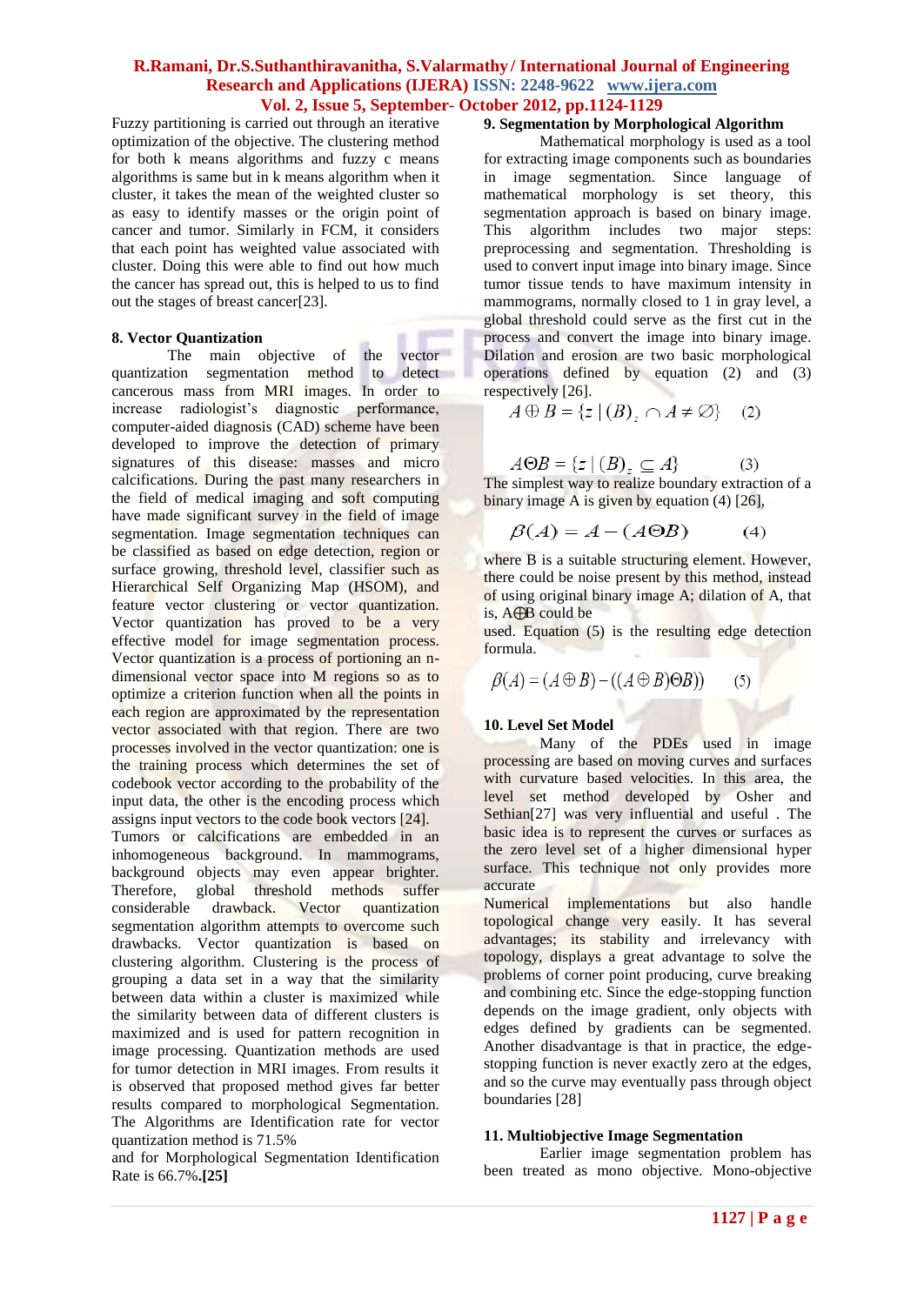Fuzzy partitioning is carried out through an iterative optimization of the objective. The clustering method for both k means algorithms and fuzzy c means algorithms is same but in k means algorithm when it cluster, it takes the mean of the weighted cluster so as easy to identify masses or the origin point of cancer and tumor. Similarly in FCM, it considers that each point has weighted value associated with cluster. Doing this were able to find out how much the cancer has spread out, this is helped to us to find out the stages of breast cancer[23].

# **8. Vector Quantization**

The main objective of the vector quantization segmentation method to detect cancerous mass from MRI images. In order to increase radiologist's diagnostic performance, computer-aided diagnosis (CAD) scheme have been developed to improve the detection of primary signatures of this disease: masses and micro calcifications. During the past many researchers in the field of medical imaging and soft computing have made significant survey in the field of image segmentation. Image segmentation techniques can be classified as based on edge detection, region or surface growing, threshold level, classifier such as Hierarchical Self Organizing Map (HSOM), and feature vector clustering or vector quantization. Vector quantization has proved to be a very effective model for image segmentation process. Vector quantization is a process of portioning an ndimensional vector space into M regions so as to optimize a criterion function when all the points in each region are approximated by the representation vector associated with that region. There are two processes involved in the vector quantization: one is the training process which determines the set of codebook vector according to the probability of the input data, the other is the encoding process which assigns input vectors to the code book vectors [24]. Tumors or calcifications are embedded in an

inhomogeneous background. In mammograms, background objects may even appear brighter. Therefore, global threshold methods suffer<br>considerable drawback. Vector quantization considerable drawback. Vector segmentation algorithm attempts to overcome such drawbacks. Vector quantization is based on clustering algorithm. Clustering is the process of grouping a data set in a way that the similarity between data within a cluster is maximized while the similarity between data of different clusters is maximized and is used for pattern recognition in image processing. Quantization methods are used for tumor detection in MRI images. From results it is observed that proposed method gives far better results compared to morphological Segmentation. The Algorithms are Identification rate for vector quantization method is 71.5%

and for Morphological Segmentation Identification Rate is 66.7%**.[25]**

# **9. Segmentation by Morphological Algorithm**

Mathematical morphology is used as a tool for extracting image components such as boundaries in image segmentation. Since language of mathematical morphology is set theory, this segmentation approach is based on binary image. This algorithm includes two major steps: preprocessing and segmentation. Thresholding is used to convert input image into binary image. Since tumor tissue tends to have maximum intensity in mammograms, normally closed to 1 in gray level, a global threshold could serve as the first cut in the process and convert the image into binary image. Dilation and erosion are two basic morphological operations defined by equation (2) and (3) respectively [26].

$$
A \oplus B = \{ z \mid (B), \cap A \neq \emptyset \} \quad (2)
$$

 $A \Theta B = \{ z | (B), \subseteq A \}$  $(3)$ The simplest way to realize boundary extraction of a binary image A is given by equation (4) [26],

$$
\beta(A) = A - (A \Theta B) \tag{4}
$$

where B is a suitable structuring element. However, there could be noise present by this method, instead of using original binary image A; dilation of A, that is, A⊕B could be

used. Equation (5) is the resulting edge detection formula.

$$
\beta(A) = (A \oplus B) - ((A \oplus B) \oplus B)) \tag{5}
$$

### **10. Level Set Model**

Many of the PDEs used in image processing are based on moving curves and surfaces with curvature based velocities. In this area, the level set method developed by Osher and Sethian<sup>[27]</sup> was very influential and useful. The basic idea is to represent the curves or surfaces as the zero level set of a higher dimensional hyper surface. This technique not only provides more accurate

Numerical implementations but also handle topological change very easily. It has several advantages; its stability and irrelevancy with topology, displays a great advantage to solve the problems of corner point producing, curve breaking and combining etc. Since the edge-stopping function depends on the image gradient, only objects with edges defined by gradients can be segmented. Another disadvantage is that in practice, the edgestopping function is never exactly zero at the edges, and so the curve may eventually pass through object boundaries [28]

### **11. Multiobjective Image Segmentation**

Earlier image segmentation problem has been treated as mono objective. Mono-objective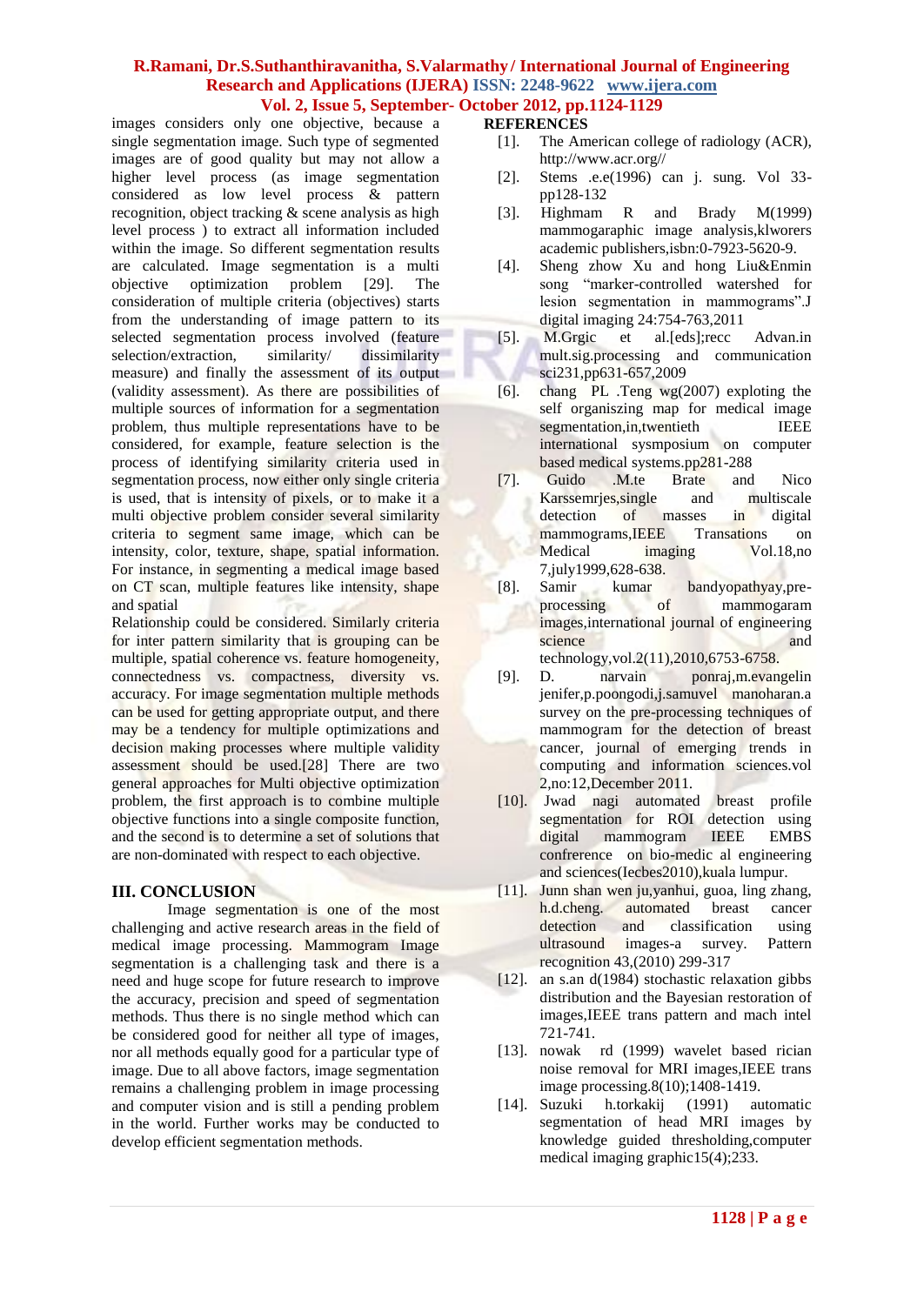images considers only one objective, because a **REFERENCES**

- [1]. The American college of radiology (ACR), http://www.acr.org//
- [2]. Stems .e.e(1996) can j. sung. Vol 33 pp128-132
- [3]. Highmam R and Brady M(1999) mammogaraphic image analysis,klworers academic publishers,isbn:0-7923-5620-9.
- [4]. Sheng zhow Xu and hong Liu&Enmin song "marker-controlled watershed for lesion segmentation in mammograms".J digital imaging 24:754-763,2011
- [5]. M.Grgic et al.[eds];recc Advan.in mult.sig.processing and communication sci231,pp631-657,2009
- [6]. chang PL .Teng wg(2007) exploting the self organiszing map for medical image segmentation, in, twentieth IEEE international sysmposium on computer based medical systems.pp281-288
- [7]. Guido .M.te Brate and Nico Karssemrjes,single and multiscale detection of masses in digital mammograms,IEEE Transations on Medical imaging Vol.18,no 7,july1999,628-638.
- [8]. Samir kumar bandyopathyay,preprocessing of mammogaram images,international journal of engineering science and technology,vol.2(11),2010,6753-6758.
- [9]. D. narvain ponraj,m.evangelin jenifer,p.poongodi,j.samuvel manoharan.a survey on the pre-processing techniques of mammogram for the detection of breast cancer, journal of emerging trends in computing and information sciences.vol 2,no:12,December 2011.
- [10]. Jwad nagi automated breast profile segmentation for ROI detection using digital mammogram IEEE EMBS confrerence on bio-medic al engineering and sciences(Iecbes2010),kuala lumpur.
- [11]. Junn shan wen ju,yanhui, guoa, ling zhang, h.d.cheng. automated breast cancer detection and classification using ultrasound images-a survey. Pattern recognition 43,(2010) 299-317
- [12]. an s.an d(1984) stochastic relaxation gibbs distribution and the Bayesian restoration of images,IEEE trans pattern and mach intel 721-741.
- [13]. nowak rd (1999) wavelet based rician noise removal for MRI images,IEEE trans image processing.8(10);1408-1419.
- [14]. Suzuki h.torkakij (1991) automatic segmentation of head MRI images by knowledge guided thresholding,computer medical imaging graphic15(4);233.

# **III. CONCLUSION**

and spatial

Image segmentation is one of the most challenging and active research areas in the field of medical image processing. Mammogram Image segmentation is a challenging task and there is a need and huge scope for future research to improve the accuracy, precision and speed of segmentation methods. Thus there is no single method which can be considered good for neither all type of images, nor all methods equally good for a particular type of image. Due to all above factors, image segmentation remains a challenging problem in image processing and computer vision and is still a pending problem in the world. Further works may be conducted to develop efficient segmentation methods.

Relationship could be considered. Similarly criteria for inter pattern similarity that is grouping can be multiple, spatial coherence vs. feature homogeneity, connectedness vs. compactness, diversity vs. accuracy. For image segmentation multiple methods can be used for getting appropriate output, and there may be a tendency for multiple optimizations and decision making processes where multiple validity assessment should be used.[28] There are two general approaches for Multi objective optimization problem, the first approach is to combine multiple objective functions into a single composite function, and the second is to determine a set of solutions that are non-dominated with respect to each objective.

single segmentation image. Such type of segmented images are of good quality but may not allow a higher level process (as image segmentation considered as low level process & pattern recognition, object tracking & scene analysis as high level process ) to extract all information included within the image. So different segmentation results are calculated. Image segmentation is a multi objective optimization problem [29]. The consideration of multiple criteria (objectives) starts from the understanding of image pattern to its selected segmentation process involved (feature selection/extraction, similarity/ dissimilarity measure) and finally the assessment of its output (validity assessment). As there are possibilities of multiple sources of information for a segmentation problem, thus multiple representations have to be considered, for example, feature selection is the process of identifying similarity criteria used in segmentation process, now either only single criteria is used, that is intensity of pixels, or to make it a multi objective problem consider several similarity criteria to segment same image, which can be intensity, color, texture, shape, spatial information. For instance, in segmenting a medical image based on CT scan, multiple features like intensity, shape